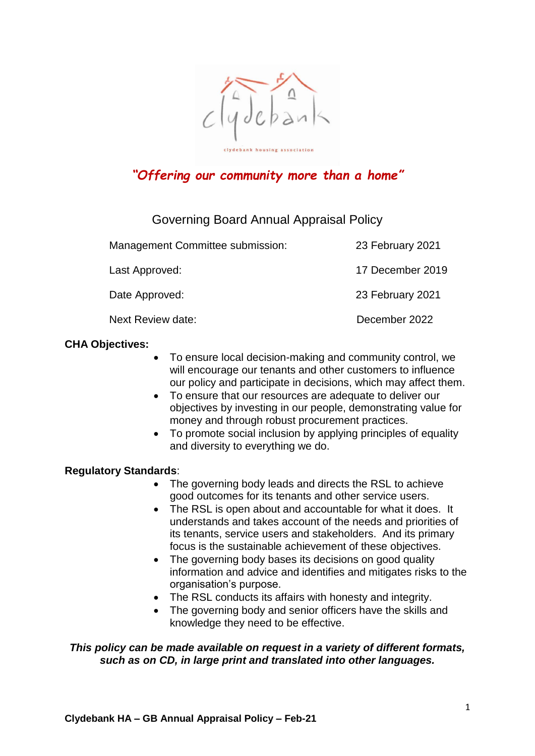

# *"Offering our community more than a home"*

# Governing Board Annual Appraisal Policy

| Management Committee submission: | 23 February 2021 |
|----------------------------------|------------------|
| Last Approved:                   | 17 December 2019 |
| Date Approved:                   | 23 February 2021 |
| Next Review date:                | December 2022    |

# **CHA Objectives:**

- To ensure local decision-making and community control, we will encourage our tenants and other customers to influence our policy and participate in decisions, which may affect them.
- To ensure that our resources are adequate to deliver our objectives by investing in our people, demonstrating value for money and through robust procurement practices.
- To promote social inclusion by applying principles of equality and diversity to everything we do.

# **Regulatory Standards**:

- The governing body leads and directs the RSL to achieve good outcomes for its tenants and other service users.
- The RSL is open about and accountable for what it does. It understands and takes account of the needs and priorities of its tenants, service users and stakeholders. And its primary focus is the sustainable achievement of these objectives.
- The governing body bases its decisions on good quality information and advice and identifies and mitigates risks to the organisation's purpose.
- The RSL conducts its affairs with honesty and integrity.
- The governing body and senior officers have the skills and knowledge they need to be effective.

# *This policy can be made available on request in a variety of different formats, such as on CD, in large print and translated into other languages.*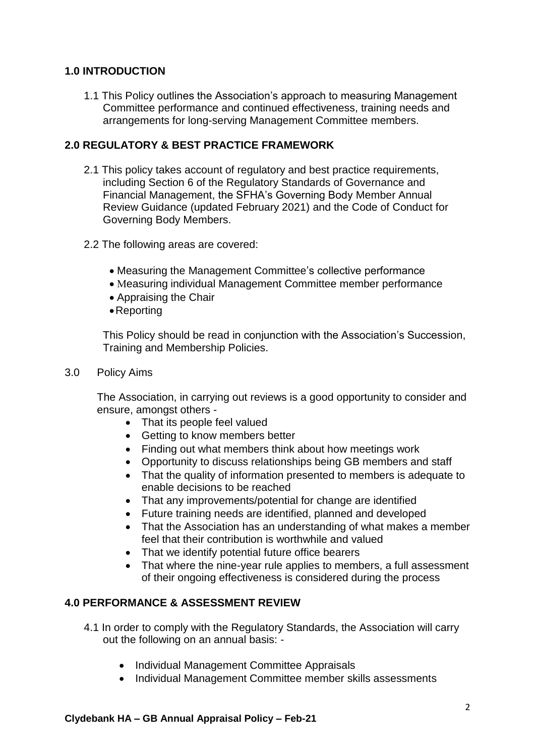# **1.0 INTRODUCTION**

1.1 This Policy outlines the Association's approach to measuring Management Committee performance and continued effectiveness, training needs and arrangements for long-serving Management Committee members.

# **2.0 REGULATORY & BEST PRACTICE FRAMEWORK**

- 2.1 This policy takes account of regulatory and best practice requirements, including Section 6 of the Regulatory Standards of Governance and Financial Management, the SFHA's Governing Body Member Annual Review Guidance (updated February 2021) and the Code of Conduct for Governing Body Members.
- 2.2 The following areas are covered:
	- Measuring the Management Committee's collective performance
	- Measuring individual Management Committee member performance
	- Appraising the Chair
	- Reporting

This Policy should be read in conjunction with the Association's Succession, Training and Membership Policies.

3.0 Policy Aims

The Association, in carrying out reviews is a good opportunity to consider and ensure, amongst others -

- That its people feel valued
- Getting to know members better
- Finding out what members think about how meetings work
- Opportunity to discuss relationships being GB members and staff
- That the quality of information presented to members is adequate to enable decisions to be reached
- That any improvements/potential for change are identified
- Future training needs are identified, planned and developed
- That the Association has an understanding of what makes a member feel that their contribution is worthwhile and valued
- That we identify potential future office bearers
- That where the nine-year rule applies to members, a full assessment of their ongoing effectiveness is considered during the process

# **4.0 PERFORMANCE & ASSESSMENT REVIEW**

- 4.1 In order to comply with the Regulatory Standards, the Association will carry out the following on an annual basis: -
	- Individual Management Committee Appraisals
	- Individual Management Committee member skills assessments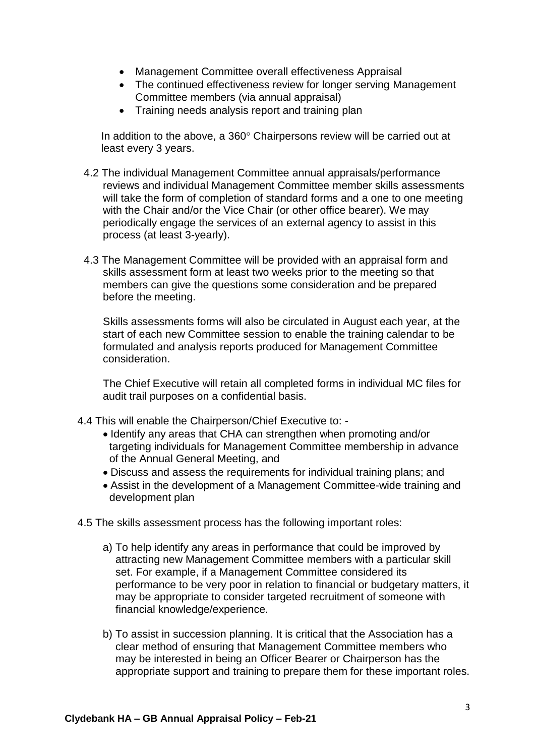- Management Committee overall effectiveness Appraisal
- The continued effectiveness review for longer serving Management Committee members (via annual appraisal)
- Training needs analysis report and training plan

In addition to the above, a  $360^\circ$  Chairpersons review will be carried out at least every 3 years.

- 4.2 The individual Management Committee annual appraisals/performance reviews and individual Management Committee member skills assessments will take the form of completion of standard forms and a one to one meeting with the Chair and/or the Vice Chair (or other office bearer). We may periodically engage the services of an external agency to assist in this process (at least 3-yearly).
- 4.3 The Management Committee will be provided with an appraisal form and skills assessment form at least two weeks prior to the meeting so that members can give the questions some consideration and be prepared before the meeting.

Skills assessments forms will also be circulated in August each year, at the start of each new Committee session to enable the training calendar to be formulated and analysis reports produced for Management Committee consideration.

The Chief Executive will retain all completed forms in individual MC files for audit trail purposes on a confidential basis.

- 4.4 This will enable the Chairperson/Chief Executive to:
	- Identify any areas that CHA can strengthen when promoting and/or targeting individuals for Management Committee membership in advance of the Annual General Meeting, and
	- Discuss and assess the requirements for individual training plans; and
	- Assist in the development of a Management Committee-wide training and development plan
- 4.5 The skills assessment process has the following important roles:
	- a) To help identify any areas in performance that could be improved by attracting new Management Committee members with a particular skill set. For example, if a Management Committee considered its performance to be very poor in relation to financial or budgetary matters, it may be appropriate to consider targeted recruitment of someone with financial knowledge/experience.
	- b) To assist in succession planning. It is critical that the Association has a clear method of ensuring that Management Committee members who may be interested in being an Officer Bearer or Chairperson has the appropriate support and training to prepare them for these important roles.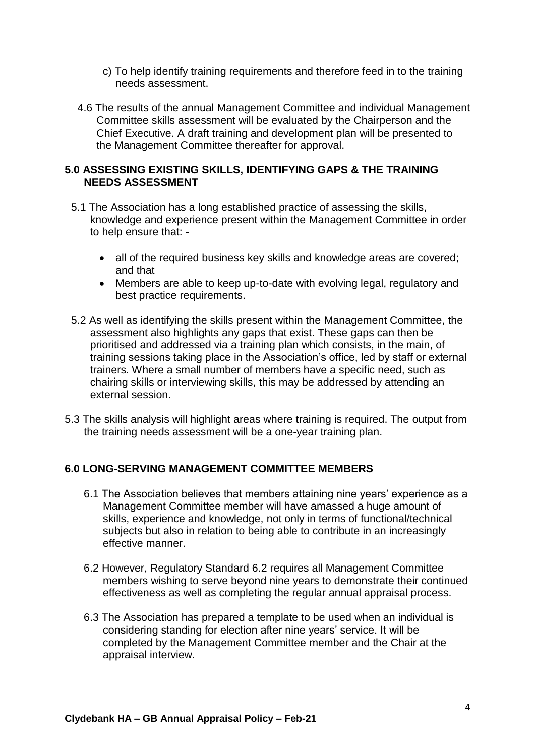- c) To help identify training requirements and therefore feed in to the training needs assessment.
- 4.6 The results of the annual Management Committee and individual Management Committee skills assessment will be evaluated by the Chairperson and the Chief Executive. A draft training and development plan will be presented to the Management Committee thereafter for approval.

# **5.0 ASSESSING EXISTING SKILLS, IDENTIFYING GAPS & THE TRAINING NEEDS ASSESSMENT**

- 5.1 The Association has a long established practice of assessing the skills, knowledge and experience present within the Management Committee in order to help ensure that: -
	- all of the required business key skills and knowledge areas are covered; and that
	- Members are able to keep up-to-date with evolving legal, regulatory and best practice requirements.
- 5.2 As well as identifying the skills present within the Management Committee, the assessment also highlights any gaps that exist. These gaps can then be prioritised and addressed via a training plan which consists, in the main, of training sessions taking place in the Association's office, led by staff or external trainers. Where a small number of members have a specific need, such as chairing skills or interviewing skills, this may be addressed by attending an external session.
- 5.3 The skills analysis will highlight areas where training is required. The output from the training needs assessment will be a one-year training plan.

# **6.0 LONG-SERVING MANAGEMENT COMMITTEE MEMBERS**

- 6.1 The Association believes that members attaining nine years' experience as a Management Committee member will have amassed a huge amount of skills, experience and knowledge, not only in terms of functional/technical subjects but also in relation to being able to contribute in an increasingly effective manner.
- 6.2 However, Regulatory Standard 6.2 requires all Management Committee members wishing to serve beyond nine years to demonstrate their continued effectiveness as well as completing the regular annual appraisal process.
- 6.3 The Association has prepared a template to be used when an individual is considering standing for election after nine years' service. It will be completed by the Management Committee member and the Chair at the appraisal interview.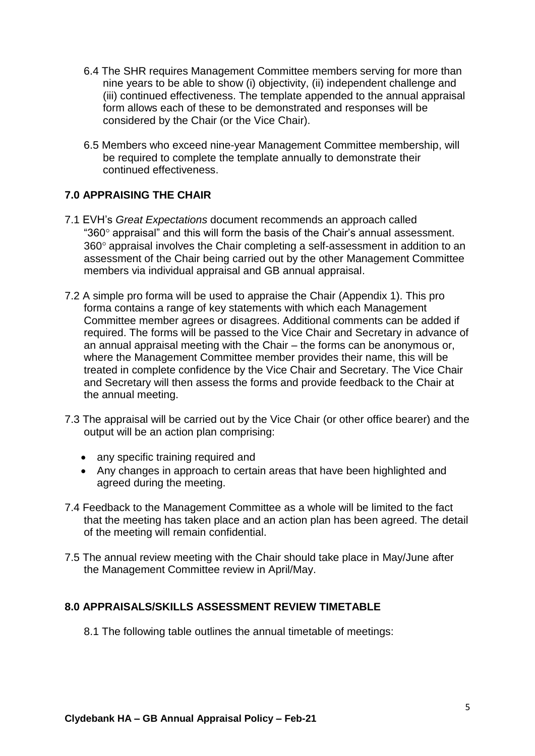- 6.4 The SHR requires Management Committee members serving for more than nine years to be able to show (i) objectivity, (ii) independent challenge and (iii) continued effectiveness. The template appended to the annual appraisal form allows each of these to be demonstrated and responses will be considered by the Chair (or the Vice Chair).
- 6.5 Members who exceed nine-year Management Committee membership, will be required to complete the template annually to demonstrate their continued effectiveness.

# **7.0 APPRAISING THE CHAIR**

- 7.1 EVH's *Great Expectations* document recommends an approach called " $360^\circ$  appraisal" and this will form the basis of the Chair's annual assessment. 360° appraisal involves the Chair completing a self-assessment in addition to an assessment of the Chair being carried out by the other Management Committee members via individual appraisal and GB annual appraisal.
- 7.2 A simple pro forma will be used to appraise the Chair (Appendix 1). This pro forma contains a range of key statements with which each Management Committee member agrees or disagrees. Additional comments can be added if required. The forms will be passed to the Vice Chair and Secretary in advance of an annual appraisal meeting with the Chair – the forms can be anonymous or, where the Management Committee member provides their name, this will be treated in complete confidence by the Vice Chair and Secretary. The Vice Chair and Secretary will then assess the forms and provide feedback to the Chair at the annual meeting.
- 7.3 The appraisal will be carried out by the Vice Chair (or other office bearer) and the output will be an action plan comprising:
	- any specific training required and
	- Any changes in approach to certain areas that have been highlighted and agreed during the meeting.
- 7.4 Feedback to the Management Committee as a whole will be limited to the fact that the meeting has taken place and an action plan has been agreed. The detail of the meeting will remain confidential.
- 7.5 The annual review meeting with the Chair should take place in May/June after the Management Committee review in April/May.

# **8.0 APPRAISALS/SKILLS ASSESSMENT REVIEW TIMETABLE**

8.1 The following table outlines the annual timetable of meetings: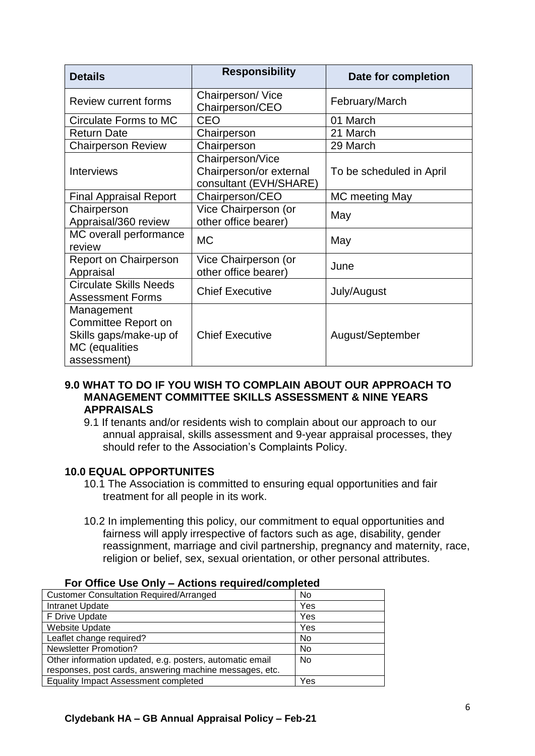| <b>Details</b>                                                                               | <b>Responsibility</b>                                                 | Date for completion      |
|----------------------------------------------------------------------------------------------|-----------------------------------------------------------------------|--------------------------|
| <b>Review current forms</b>                                                                  | Chairperson/Vice<br>Chairperson/CEO                                   | February/March           |
| Circulate Forms to MC                                                                        | <b>CEO</b>                                                            | 01 March                 |
| <b>Return Date</b>                                                                           | Chairperson                                                           | 21 March                 |
| <b>Chairperson Review</b>                                                                    | Chairperson                                                           | 29 March                 |
| <b>Interviews</b>                                                                            | Chairperson/Vice<br>Chairperson/or external<br>consultant (EVH/SHARE) | To be scheduled in April |
| <b>Final Appraisal Report</b>                                                                | Chairperson/CEO                                                       | MC meeting May           |
| Chairperson<br>Appraisal/360 review                                                          | Vice Chairperson (or<br>other office bearer)                          | May                      |
| MC overall performance<br>review                                                             | <b>MC</b>                                                             | May                      |
| <b>Report on Chairperson</b><br>Appraisal                                                    | Vice Chairperson (or<br>other office bearer)                          | June                     |
| <b>Circulate Skills Needs</b><br><b>Assessment Forms</b>                                     | <b>Chief Executive</b>                                                | July/August              |
| Management<br>Committee Report on<br>Skills gaps/make-up of<br>MC (equalities<br>assessment) | <b>Chief Executive</b>                                                | August/September         |

#### **9.0 WHAT TO DO IF YOU WISH TO COMPLAIN ABOUT OUR APPROACH TO MANAGEMENT COMMITTEE SKILLS ASSESSMENT & NINE YEARS APPRAISALS**

9.1 If tenants and/or residents wish to complain about our approach to our annual appraisal, skills assessment and 9-year appraisal processes, they should refer to the Association's Complaints Policy.

# **10.0 EQUAL OPPORTUNITES**

- 10.1 The Association is committed to ensuring equal opportunities and fair treatment for all people in its work.
- 10.2 In implementing this policy, our commitment to equal opportunities and fairness will apply irrespective of factors such as age, disability, gender reassignment, marriage and civil partnership, pregnancy and maternity, race, religion or belief, sex, sexual orientation, or other personal attributes.

| <b>Customer Consultation Required/Arranged</b>           | No        |
|----------------------------------------------------------|-----------|
| Intranet Update                                          | Yes       |
| F Drive Update                                           | Yes       |
| Website Update                                           | Yes       |
| Leaflet change required?                                 | No        |
| <b>Newsletter Promotion?</b>                             | No        |
| Other information updated, e.g. posters, automatic email | <b>No</b> |
| responses, post cards, answering machine messages, etc.  |           |
| <b>Equality Impact Assessment completed</b>              | Yes       |

#### **For Office Use Only – Actions required/completed**